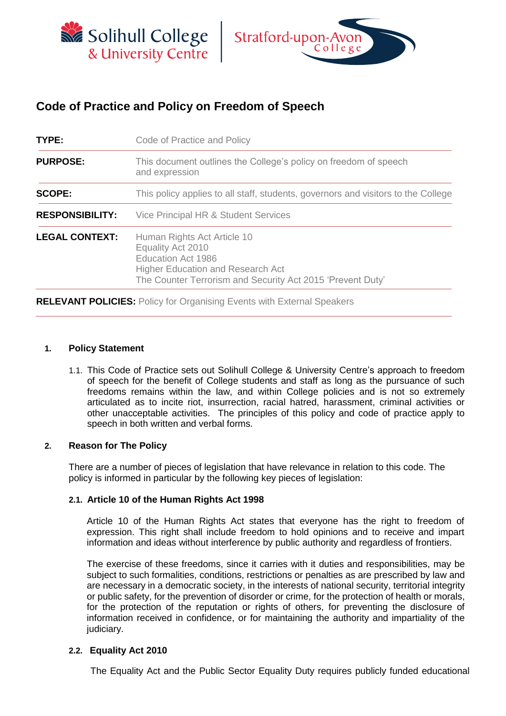



# **Code of Practice and Policy on Freedom of Speech**

| TYPE:                  | Code of Practice and Policy                                                                                                                                                             |  |  |
|------------------------|-----------------------------------------------------------------------------------------------------------------------------------------------------------------------------------------|--|--|
| <b>PURPOSE:</b>        | This document outlines the College's policy on freedom of speech<br>and expression                                                                                                      |  |  |
| <b>SCOPE:</b>          | This policy applies to all staff, students, governors and visitors to the College                                                                                                       |  |  |
| <b>RESPONSIBILITY:</b> | Vice Principal HR & Student Services                                                                                                                                                    |  |  |
| <b>LEGAL CONTEXT:</b>  | Human Rights Act Article 10<br>Equality Act 2010<br><b>Education Act 1986</b><br><b>Higher Education and Research Act</b><br>The Counter Terrorism and Security Act 2015 'Prevent Duty' |  |  |

**RELEVANT POLICIES:** Policy for Organising Events with External Speakers

## **1. Policy Statement**

1.1. This Code of Practice sets out Solihull College & University Centre's approach to freedom of speech for the benefit of College students and staff as long as the pursuance of such freedoms remains within the law, and within College policies and is not so extremely articulated as to incite riot, insurrection, racial hatred, harassment, criminal activities or other unacceptable activities. The principles of this policy and code of practice apply to speech in both written and verbal forms.

## **2. Reason for The Policy**

There are a number of pieces of legislation that have relevance in relation to this code. The policy is informed in particular by the following key pieces of legislation:

## **2.1. Article 10 of the Human Rights Act 1998**

Article 10 of the Human Rights Act states that everyone has the right to freedom of expression. This right shall include freedom to hold opinions and to receive and impart information and ideas without interference by public authority and regardless of frontiers.

The exercise of these freedoms, since it carries with it duties and responsibilities, may be subject to such formalities, conditions, restrictions or penalties as are prescribed by law and are necessary in a democratic society, in the interests of national security, territorial integrity or public safety, for the prevention of disorder or crime, for the protection of health or morals, for the protection of the reputation or rights of others, for preventing the disclosure of information received in confidence, or for maintaining the authority and impartiality of the judiciary.

#### **2.2. Equality Act 2010**

The Equality Act and the Public Sector Equality Duty requires publicly funded educational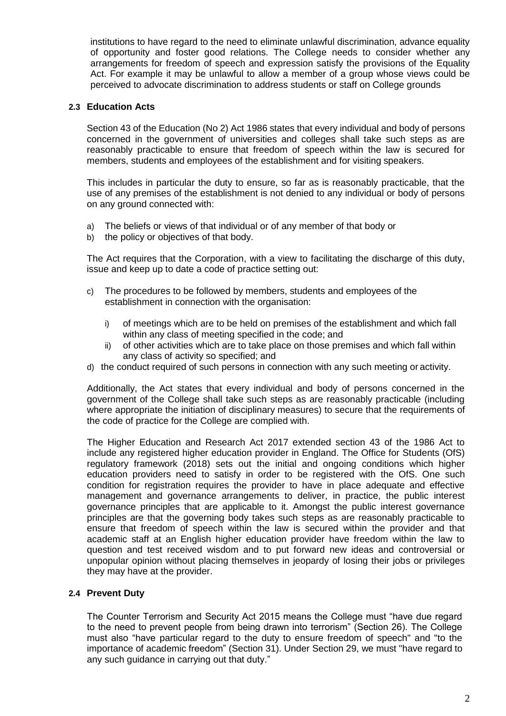institutions to have regard to the need to eliminate unlawful discrimination, advance equality of opportunity and foster good relations. The College needs to consider whether any arrangements for freedom of speech and expression satisfy the provisions of the Equality Act. For example it may be unlawful to allow a member of a group whose views could be perceived to advocate discrimination to address students or staff on College grounds

# **2.3 Education Acts**

Section 43 of the Education (No 2) Act 1986 states that every individual and body of persons concerned in the government of universities and colleges shall take such steps as are reasonably practicable to ensure that freedom of speech within the law is secured for members, students and employees of the establishment and for visiting speakers.

This includes in particular the duty to ensure, so far as is reasonably practicable, that the use of any premises of the establishment is not denied to any individual or body of persons on any ground connected with:

- a) The beliefs or views of that individual or of any member of that body or
- b) the policy or objectives of that body.

The Act requires that the Corporation, with a view to facilitating the discharge of this duty, issue and keep up to date a code of practice setting out:

- c) The procedures to be followed by members, students and employees of the establishment in connection with the organisation:
	- i) of meetings which are to be held on premises of the establishment and which fall within any class of meeting specified in the code; and
	- ii) of other activities which are to take place on those premises and which fall within any class of activity so specified; and
- d) the conduct required of such persons in connection with any such meeting or activity.

Additionally, the Act states that every individual and body of persons concerned in the government of the College shall take such steps as are reasonably practicable (including where appropriate the initiation of disciplinary measures) to secure that the requirements of the code of practice for the College are complied with.

The Higher Education and Research Act 2017 extended section 43 of the 1986 Act to include any registered higher education provider in England. The Office for Students (OfS) regulatory framework (2018) sets out the initial and ongoing conditions which higher education providers need to satisfy in order to be registered with the OfS. One such condition for registration requires the provider to have in place adequate and effective management and governance arrangements to deliver, in practice, the public interest governance principles that are applicable to it. Amongst the public interest governance principles are that the governing body takes such steps as are reasonably practicable to ensure that freedom of speech within the law is secured within the provider and that academic staff at an English higher education provider have freedom within the law to question and test received wisdom and to put forward new ideas and controversial or unpopular opinion without placing themselves in jeopardy of losing their jobs or privileges they may have at the provider.

## **2.4 Prevent Duty**

The Counter Terrorism and Security Act 2015 means the College must "have due regard to the need to prevent people from being drawn into terrorism" (Section 26). The College must also "have particular regard to the duty to ensure freedom of speech" and "to the importance of academic freedom" (Section 31). Under Section 29, we must "have regard to any such guidance in carrying out that duty."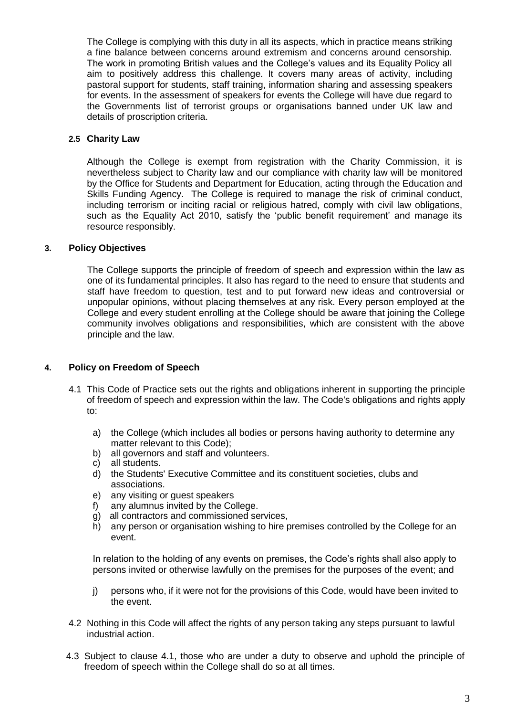The College is complying with this duty in all its aspects, which in practice means striking a fine balance between concerns around extremism and concerns around censorship. The work in promoting British values and the College's values and its Equality Policy all aim to positively address this challenge. It covers many areas of activity, including pastoral support for students, staff training, information sharing and assessing speakers for events. In the assessment of speakers for events the College will have due regard to the Governments list of terrorist groups or organisations banned under UK law and details of proscription criteria.

## **2.5 Charity Law**

Although the College is exempt from registration with the Charity Commission, it is nevertheless subject to Charity law and our compliance with charity law will be monitored by the Office for Students and Department for Education, acting through the Education and Skills Funding Agency. The College is required to manage the risk of criminal conduct, including terrorism or inciting racial or religious hatred, comply with civil law obligations, such as the Equality Act 2010, satisfy the 'public benefit requirement' and manage its resource responsibly.

## **3. Policy Objectives**

The College supports the principle of freedom of speech and expression within the law as one of its fundamental principles. It also has regard to the need to ensure that students and staff have freedom to question, test and to put forward new ideas and controversial or unpopular opinions, without placing themselves at any risk. Every person employed at the College and every student enrolling at the College should be aware that joining the College community involves obligations and responsibilities, which are consistent with the above principle and the law.

#### **4. Policy on Freedom of Speech**

- 4.1 This Code of Practice sets out the rights and obligations inherent in supporting the principle of freedom of speech and expression within the law. The Code's obligations and rights apply to:
	- a) the College (which includes all bodies or persons having authority to determine any matter relevant to this Code);
	- b) all governors and staff and volunteers.
	- c) all students.
	- d) the Students' Executive Committee and its constituent societies, clubs and associations.
	- e) any visiting or guest speakers
	- f) any alumnus invited by the College.
	- g) all contractors and commissioned services,
	- h) any person or organisation wishing to hire premises controlled by the College for an event.

In relation to the holding of any events on premises, the Code's rights shall also apply to persons invited or otherwise lawfully on the premises for the purposes of the event; and

- j) persons who, if it were not for the provisions of this Code, would have been invited to the event.
- 4.2 Nothing in this Code will affect the rights of any person taking any steps pursuant to lawful industrial action.
- 4.3 Subject to clause 4.1, those who are under a duty to observe and uphold the principle of freedom of speech within the College shall do so at all times.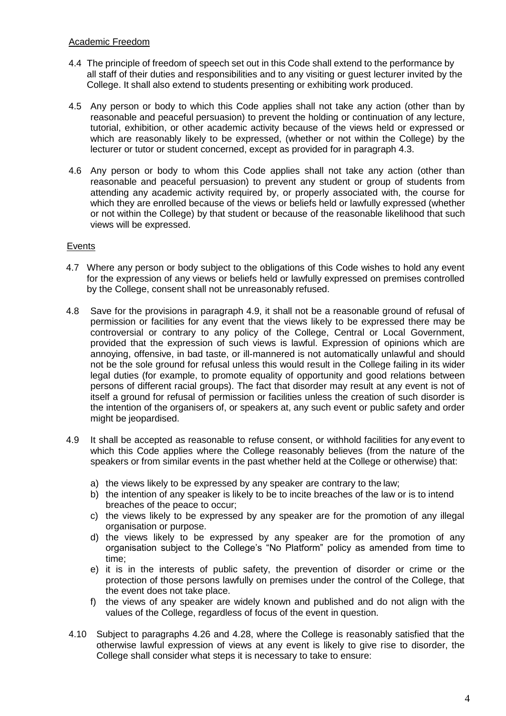# Academic Freedom

- 4.4 The principle of freedom of speech set out in this Code shall extend to the performance by all staff of their duties and responsibilities and to any visiting or guest lecturer invited by the College. It shall also extend to students presenting or exhibiting work produced.
- 4.5 Any person or body to which this Code applies shall not take any action (other than by reasonable and peaceful persuasion) to prevent the holding or continuation of any lecture, tutorial, exhibition, or other academic activity because of the views held or expressed or which are reasonably likely to be expressed, (whether or not within the College) by the lecturer or tutor or student concerned, except as provided for in paragraph 4.3.
- 4.6 Any person or body to whom this Code applies shall not take any action (other than reasonable and peaceful persuasion) to prevent any student or group of students from attending any academic activity required by, or properly associated with, the course for which they are enrolled because of the views or beliefs held or lawfully expressed (whether or not within the College) by that student or because of the reasonable likelihood that such views will be expressed.

# Events

- 4.7 Where any person or body subject to the obligations of this Code wishes to hold any event for the expression of any views or beliefs held or lawfully expressed on premises controlled by the College, consent shall not be unreasonably refused.
- 4.8 Save for the provisions in paragraph 4.9, it shall not be a reasonable ground of refusal of permission or facilities for any event that the views likely to be expressed there may be controversial or contrary to any policy of the College, Central or Local Government, provided that the expression of such views is lawful. Expression of opinions which are annoying, offensive, in bad taste, or ill-mannered is not automatically unlawful and should not be the sole ground for refusal unless this would result in the College failing in its wider legal duties (for example, to promote equality of opportunity and good relations between persons of different racial groups). The fact that disorder may result at any event is not of itself a ground for refusal of permission or facilities unless the creation of such disorder is the intention of the organisers of, or speakers at, any such event or public safety and order might be jeopardised.
- 4.9 It shall be accepted as reasonable to refuse consent, or withhold facilities for any event to which this Code applies where the College reasonably believes (from the nature of the speakers or from similar events in the past whether held at the College or otherwise) that:
	- a) the views likely to be expressed by any speaker are contrary to the law;
	- b) the intention of any speaker is likely to be to incite breaches of the law or is to intend breaches of the peace to occur;
	- c) the views likely to be expressed by any speaker are for the promotion of any illegal organisation or purpose.
	- d) the views likely to be expressed by any speaker are for the promotion of any organisation subject to the College's "No Platform" policy as amended from time to time;
	- e) it is in the interests of public safety, the prevention of disorder or crime or the protection of those persons lawfully on premises under the control of the College, that the event does not take place.
	- f) the views of any speaker are widely known and published and do not align with the values of the College, regardless of focus of the event in question.
- 4.10 Subject to paragraphs 4.26 and 4.28, where the College is reasonably satisfied that the otherwise lawful expression of views at any event is likely to give rise to disorder, the College shall consider what steps it is necessary to take to ensure: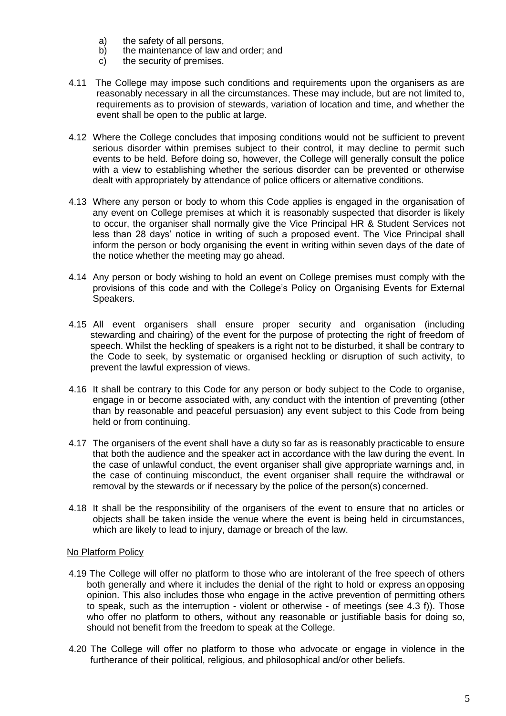- a) the safety of all persons,<br>b) the maintenance of law a
- b) the maintenance of law and order; and c) the security of premises.
- the security of premises.
- 4.11 The College may impose such conditions and requirements upon the organisers as are reasonably necessary in all the circumstances. These may include, but are not limited to, requirements as to provision of stewards, variation of location and time, and whether the event shall be open to the public at large.
- 4.12 Where the College concludes that imposing conditions would not be sufficient to prevent serious disorder within premises subject to their control, it may decline to permit such events to be held. Before doing so, however, the College will generally consult the police with a view to establishing whether the serious disorder can be prevented or otherwise dealt with appropriately by attendance of police officers or alternative conditions.
- 4.13 Where any person or body to whom this Code applies is engaged in the organisation of any event on College premises at which it is reasonably suspected that disorder is likely to occur, the organiser shall normally give the Vice Principal HR & Student Services not less than 28 days' notice in writing of such a proposed event. The Vice Principal shall inform the person or body organising the event in writing within seven days of the date of the notice whether the meeting may go ahead.
- 4.14 Any person or body wishing to hold an event on College premises must comply with the provisions of this code and with the College's Policy on Organising Events for External Speakers.
- 4.15 All event organisers shall ensure proper security and organisation (including stewarding and chairing) of the event for the purpose of protecting the right of freedom of speech. Whilst the heckling of speakers is a right not to be disturbed, it shall be contrary to the Code to seek, by systematic or organised heckling or disruption of such activity, to prevent the lawful expression of views.
- 4.16 It shall be contrary to this Code for any person or body subject to the Code to organise, engage in or become associated with, any conduct with the intention of preventing (other than by reasonable and peaceful persuasion) any event subject to this Code from being held or from continuing.
- 4.17 The organisers of the event shall have a duty so far as is reasonably practicable to ensure that both the audience and the speaker act in accordance with the law during the event. In the case of unlawful conduct, the event organiser shall give appropriate warnings and, in the case of continuing misconduct, the event organiser shall require the withdrawal or removal by the stewards or if necessary by the police of the person(s) concerned.
- 4.18 It shall be the responsibility of the organisers of the event to ensure that no articles or objects shall be taken inside the venue where the event is being held in circumstances, which are likely to lead to injury, damage or breach of the law.

## No Platform Policy

- 4.19 The College will offer no platform to those who are intolerant of the free speech of others both generally and where it includes the denial of the right to hold or express an opposing opinion. This also includes those who engage in the active prevention of permitting others to speak, such as the interruption - violent or otherwise - of meetings (see 4.3 f)). Those who offer no platform to others, without any reasonable or justifiable basis for doing so, should not benefit from the freedom to speak at the College.
- 4.20 The College will offer no platform to those who advocate or engage in violence in the furtherance of their political, religious, and philosophical and/or other beliefs.